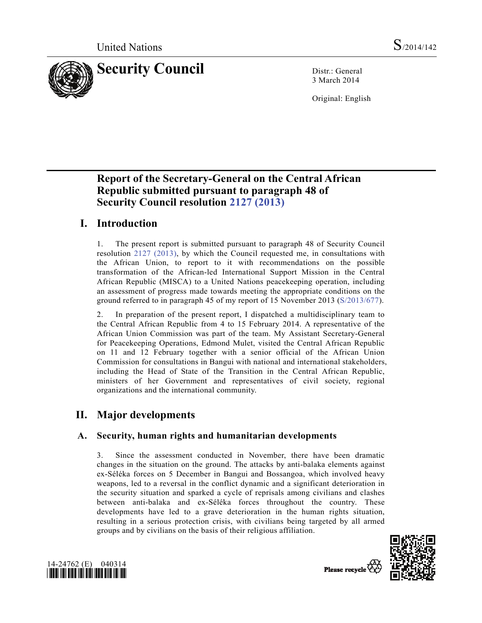

3 March 2014

Original: English

# **Report of the Secretary-General on the Central African Republic submitted pursuant to paragraph 48 of Security Council resolution 2127 (2013)**

# **I. Introduction**

1. The present report is submitted pursuant to paragraph 48 of Security Council resolution 2127 (2013), by which the Council requested me, in consultations with the African Union, to report to it with recommendations on the possible transformation of the African-led International Support Mission in the Central African Republic (MISCA) to a United Nations peacekeeping operation, including an assessment of progress made towards meeting the appropriate conditions on the ground referred to in paragraph 45 of my report of 15 November 2013 (S/2013/677).

2. In preparation of the present report, I dispatched a multidisciplinary team to the Central African Republic from 4 to 15 February 2014. A representative of the African Union Commission was part of the team. My Assistant Secretary-General for Peacekeeping Operations, Edmond Mulet, visited the Central African Republic on 11 and 12 February together with a senior official of the African Union Commission for consultations in Bangui with national and international stakeholders, including the Head of State of the Transition in the Central African Republic, ministers of her Government and representatives of civil society, regional organizations and the international community.

# **II. Major developments**

# **A. Security, human rights and humanitarian developments**

3. Since the assessment conducted in November, there have been dramatic changes in the situation on the ground. The attacks by anti-balaka elements against ex-Séléka forces on 5 December in Bangui and Bossangoa, which involved heavy weapons, led to a reversal in the conflict dynamic and a significant deterioration in the security situation and sparked a cycle of reprisals among civilians and clashes between anti-balaka and ex-Séléka forces throughout the country. These developments have led to a grave deterioration in the human rights situation, resulting in a serious protection crisis, with civilians being targeted by all armed groups and by civilians on the basis of their religious affiliation.



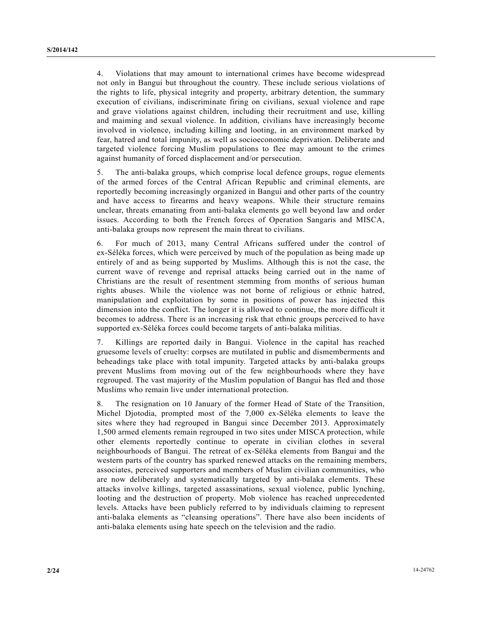4. Violations that may amount to international crimes have become widespread not only in Bangui but throughout the country. These include serious violations of the rights to life, physical integrity and property, arbitrary detention, the summary execution of civilians, indiscriminate firing on civilians, sexual violence and rape and grave violations against children, including their recruitment and use, killing and maiming and sexual violence. In addition, civilians have increasingly become involved in violence, including killing and looting, in an environment marked by fear, hatred and total impunity, as well as socioeconomic deprivation. Deliberate and targeted violence forcing Muslim populations to flee may amount to the crimes against humanity of forced displacement and/or persecution.

5. The anti-balaka groups, which comprise local defence groups, rogue elements of the armed forces of the Central African Republic and criminal elements, are reportedly becoming increasingly organized in Bangui and other parts of the country and have access to firearms and heavy weapons. While their structure remains unclear, threats emanating from anti-balaka elements go well beyond law and order issues. According to both the French forces of Operation Sangaris and MISCA, anti-balaka groups now represent the main threat to civilians.

6. For much of 2013, many Central Africans suffered under the control of ex-Séléka forces, which were perceived by much of the population as being made up entirely of and as being supported by Muslims. Although this is not the case, the current wave of revenge and reprisal attacks being carried out in the name of Christians are the result of resentment stemming from months of serious human rights abuses. While the violence was not borne of religious or ethnic hatred, manipulation and exploitation by some in positions of power has injected this dimension into the conflict. The longer it is allowed to continue, the more difficult it becomes to address. There is an increasing risk that ethnic groups perceived to have supported ex-Séléka forces could become targets of anti-balaka militias.

7. Killings are reported daily in Bangui. Violence in the capital has reached gruesome levels of cruelty: corpses are mutilated in public and dismemberments and beheadings take place with total impunity. Targeted attacks by anti-balaka groups prevent Muslims from moving out of the few neighbourhoods where they have regrouped. The vast majority of the Muslim population of Bangui has fled and those Muslims who remain live under international protection.

8. The resignation on 10 January of the former Head of State of the Transition, Michel Djotodia, prompted most of the 7,000 ex-Séléka elements to leave the sites where they had regrouped in Bangui since December 2013. Approximately 1,500 armed elements remain regrouped in two sites under MISCA protection, while other elements reportedly continue to operate in civilian clothes in several neighbourhoods of Bangui. The retreat of ex-Séléka elements from Bangui and the western parts of the country has sparked renewed attacks on the remaining members, associates, perceived supporters and members of Muslim civilian communities, who are now deliberately and systematically targeted by anti-balaka elements. These attacks involve killings, targeted assassinations, sexual violence, public lynching, looting and the destruction of property. Mob violence has reached unprecedented levels. Attacks have been publicly referred to by individuals claiming to represent anti-balaka elements as "cleansing operations". There have also been incidents of anti-balaka elements using hate speech on the television and the radio.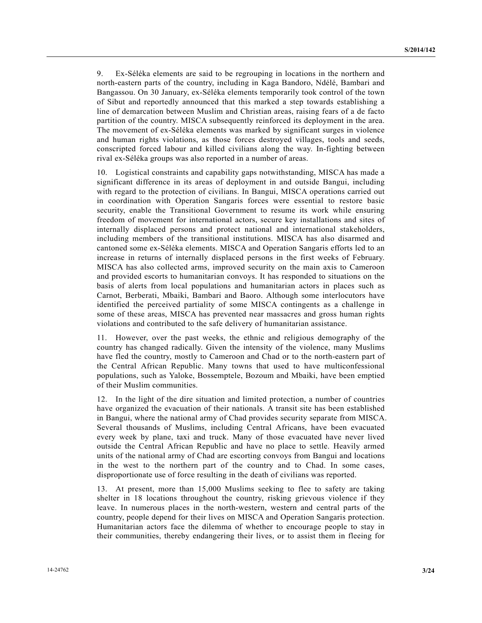9. Ex-Séléka elements are said to be regrouping in locations in the northern and north-eastern parts of the country, including in Kaga Bandoro, Ndélé, Bambari and Bangassou. On 30 January, ex-Séléka elements temporarily took control of the town of Sibut and reportedly announced that this marked a step towards establishing a line of demarcation between Muslim and Christian areas, raising fears of a de facto partition of the country. MISCA subsequently reinforced its deployment in the area. The movement of ex-Séléka elements was marked by significant surges in violence and human rights violations, as those forces destroyed villages, tools and seeds, conscripted forced labour and killed civilians along the way. In-fighting between rival ex-Séléka groups was also reported in a number of areas.

10. Logistical constraints and capability gaps notwithstanding, MISCA has made a significant difference in its areas of deployment in and outside Bangui, including with regard to the protection of civilians. In Bangui, MISCA operations carried out in coordination with Operation Sangaris forces were essential to restore basic security, enable the Transitional Government to resume its work while ensuring freedom of movement for international actors, secure key installations and sites of internally displaced persons and protect national and international stakeholders, including members of the transitional institutions. MISCA has also disarmed and cantoned some ex-Séléka elements. MISCA and Operation Sangaris efforts led to an increase in returns of internally displaced persons in the first weeks of February. MISCA has also collected arms, improved security on the main axis to Cameroon and provided escorts to humanitarian convoys. It has responded to situations on the basis of alerts from local populations and humanitarian actors in places such as Carnot, Berberati, Mbaiki, Bambari and Baoro. Although some interlocutors have identified the perceived partiality of some MISCA contingents as a challenge in some of these areas, MISCA has prevented near massacres and gross human rights violations and contributed to the safe delivery of humanitarian assistance.

11. However, over the past weeks, the ethnic and religious demography of the country has changed radically. Given the intensity of the violence, many Muslims have fled the country, mostly to Cameroon and Chad or to the north-eastern part of the Central African Republic. Many towns that used to have multiconfessional populations, such as Yaloke, Bossemptele, Bozoum and Mbaiki, have been emptied of their Muslim communities.

12. In the light of the dire situation and limited protection, a number of countries have organized the evacuation of their nationals. A transit site has been established in Bangui, where the national army of Chad provides security separate from MISCA. Several thousands of Muslims, including Central Africans, have been evacuated every week by plane, taxi and truck. Many of those evacuated have never lived outside the Central African Republic and have no place to settle. Heavily armed units of the national army of Chad are escorting convoys from Bangui and locations in the west to the northern part of the country and to Chad. In some cases, disproportionate use of force resulting in the death of civilians was reported.

13. At present, more than 15,000 Muslims seeking to flee to safety are taking shelter in 18 locations throughout the country, risking grievous violence if they leave. In numerous places in the north-western, western and central parts of the country, people depend for their lives on MISCA and Operation Sangaris protection. Humanitarian actors face the dilemma of whether to encourage people to stay in their communities, thereby endangering their lives, or to assist them in fleeing for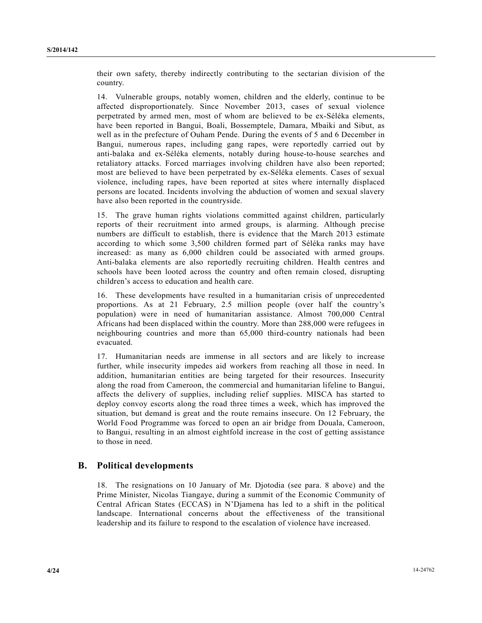their own safety, thereby indirectly contributing to the sectarian division of the country.

14. Vulnerable groups, notably women, children and the elderly, continue to be affected disproportionately. Since November 2013, cases of sexual violence perpetrated by armed men, most of whom are believed to be ex-Séléka elements, have been reported in Bangui, Boali, Bossemptele, Damara, Mbaiki and Sibut, as well as in the prefecture of Ouham Pende. During the events of 5 and 6 December in Bangui, numerous rapes, including gang rapes, were reportedly carried out by anti-balaka and ex-Séléka elements, notably during house-to-house searches and retaliatory attacks. Forced marriages involving children have also been reported; most are believed to have been perpetrated by ex-Séléka elements. Cases of sexual violence, including rapes, have been reported at sites where internally displaced persons are located. Incidents involving the abduction of women and sexual slavery have also been reported in the countryside.

15. The grave human rights violations committed against children, particularly reports of their recruitment into armed groups, is alarming. Although precise numbers are difficult to establish, there is evidence that the March 2013 estimate according to which some 3,500 children formed part of Séléka ranks may have increased: as many as 6,000 children could be associated with armed groups. Anti-balaka elements are also reportedly recruiting children. Health centres and schools have been looted across the country and often remain closed, disrupting children's access to education and health care.

16. These developments have resulted in a humanitarian crisis of unprecedented proportions. As at 21 February, 2.5 million people (over half the country's population) were in need of humanitarian assistance. Almost 700,000 Central Africans had been displaced within the country. More than 288,000 were refugees in neighbouring countries and more than 65,000 third-country nationals had been evacuated.

17. Humanitarian needs are immense in all sectors and are likely to increase further, while insecurity impedes aid workers from reaching all those in need. In addition, humanitarian entities are being targeted for their resources. Insecurity along the road from Cameroon, the commercial and humanitarian lifeline to Bangui, affects the delivery of supplies, including relief supplies. MISCA has started to deploy convoy escorts along the road three times a week, which has improved the situation, but demand is great and the route remains insecure. On 12 February, the World Food Programme was forced to open an air bridge from Douala, Cameroon, to Bangui, resulting in an almost eightfold increase in the cost of getting assistance to those in need.

## **B. Political developments**

18. The resignations on 10 January of Mr. Djotodia (see para. 8 above) and the Prime Minister, Nicolas Tiangaye, during a summit of the Economic Community of Central African States (ECCAS) in N'Djamena has led to a shift in the political landscape. International concerns about the effectiveness of the transitional leadership and its failure to respond to the escalation of violence have increased.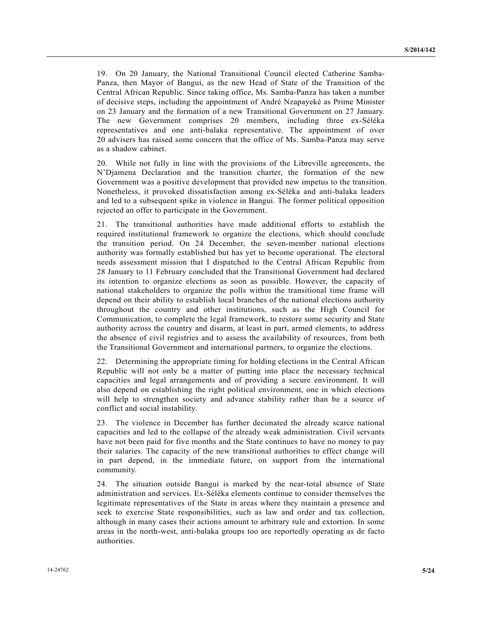19. On 20 January, the National Transitional Council elected Catherine Samba-Panza, then Mayor of Bangui, as the new Head of State of the Transition of the Central African Republic. Since taking office, Ms. Samba-Panza has taken a number of decisive steps, including the appointment of André Nzapayeké as Prime Minister on 23 January and the formation of a new Transitional Government on 27 January. The new Government comprises 20 members, including three ex-Séléka representatives and one anti-balaka representative. The appointment of over 20 advisers has raised some concern that the office of Ms. Samba-Panza may serve as a shadow cabinet.

20. While not fully in line with the provisions of the Libreville agreements, the N'Djamena Declaration and the transition charter, the formation of the new Government was a positive development that provided new impetus to the transition. Nonetheless, it provoked dissatisfaction among ex-Séléka and anti-balaka leaders and led to a subsequent spike in violence in Bangui. The former political opposition rejected an offer to participate in the Government.

21. The transitional authorities have made additional efforts to establish the required institutional framework to organize the elections, which should conclude the transition period. On 24 December, the seven-member national elections authority was formally established but has yet to become operational. The electoral needs assessment mission that I dispatched to the Central African Republic from 28 January to 11 February concluded that the Transitional Government had declared its intention to organize elections as soon as possible. However, the capacity of national stakeholders to organize the polls within the transitional time frame will depend on their ability to establish local branches of the national elections authority throughout the country and other institutions, such as the High Council for Communication, to complete the legal framework, to restore some security and State authority across the country and disarm, at least in part, armed elements, to address the absence of civil registries and to assess the availability of resources, from both the Transitional Government and international partners, to organize the elections.

22. Determining the appropriate timing for holding elections in the Central African Republic will not only be a matter of putting into place the necessary technical capacities and legal arrangements and of providing a secure environment. It will also depend on establishing the right political environment, one in which elections will help to strengthen society and advance stability rather than be a source of conflict and social instability.

23. The violence in December has further decimated the already scarce national capacities and led to the collapse of the already weak administration. Civil servants have not been paid for five months and the State continues to have no money to pay their salaries. The capacity of the new transitional authorities to effect change will in part depend, in the immediate future, on support from the international community.

24. The situation outside Bangui is marked by the near-total absence of State administration and services. Ex-Séléka elements continue to consider themselves the legitimate representatives of the State in areas where they maintain a presence and seek to exercise State responsibilities, such as law and order and tax collection, although in many cases their actions amount to arbitrary rule and extortion. In some areas in the north-west, anti-balaka groups too are reportedly operating as de facto authorities.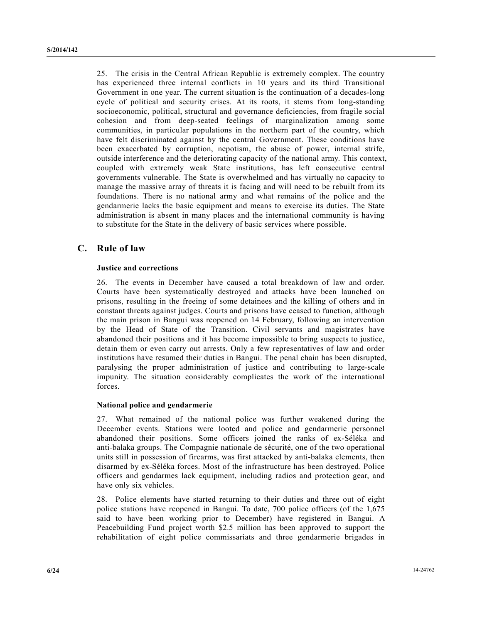25. The crisis in the Central African Republic is extremely complex. The country has experienced three internal conflicts in 10 years and its third Transitional Government in one year. The current situation is the continuation of a decades-long cycle of political and security crises. At its roots, it stems from long-standing socioeconomic, political, structural and governance deficiencies, from fragile social cohesion and from deep-seated feelings of marginalization among some communities, in particular populations in the northern part of the country, which have felt discriminated against by the central Government. These conditions have been exacerbated by corruption, nepotism, the abuse of power, internal strife, outside interference and the deteriorating capacity of the national army. This context, coupled with extremely weak State institutions, has left consecutive central governments vulnerable. The State is overwhelmed and has virtually no capacity to manage the massive array of threats it is facing and will need to be rebuilt from its foundations. There is no national army and what remains of the police and the gendarmerie lacks the basic equipment and means to exercise its duties. The State administration is absent in many places and the international community is having to substitute for the State in the delivery of basic services where possible.

## **C. Rule of law**

### **Justice and corrections**

26. The events in December have caused a total breakdown of law and order. Courts have been systematically destroyed and attacks have been launched on prisons, resulting in the freeing of some detainees and the killing of others and in constant threats against judges. Courts and prisons have ceased to function, although the main prison in Bangui was reopened on 14 February, following an intervention by the Head of State of the Transition. Civil servants and magistrates have abandoned their positions and it has become impossible to bring suspects to justice, detain them or even carry out arrests. Only a few representatives of law and order institutions have resumed their duties in Bangui. The penal chain has been disrupted, paralysing the proper administration of justice and contributing to large-scale impunity. The situation considerably complicates the work of the international forces.

### **National police and gendarmerie**

27. What remained of the national police was further weakened during the December events. Stations were looted and police and gendarmerie personnel abandoned their positions. Some officers joined the ranks of ex-Séléka and anti-balaka groups. The Compagnie nationale de sécurité, one of the two operational units still in possession of firearms, was first attacked by anti-balaka elements, then disarmed by ex-Séléka forces. Most of the infrastructure has been destroyed. Police officers and gendarmes lack equipment, including radios and protection gear, and have only six vehicles.

28. Police elements have started returning to their duties and three out of eight police stations have reopened in Bangui. To date, 700 police officers (of the 1,675 said to have been working prior to December) have registered in Bangui. A Peacebuilding Fund project worth \$2.5 million has been approved to support the rehabilitation of eight police commissariats and three gendarmerie brigades in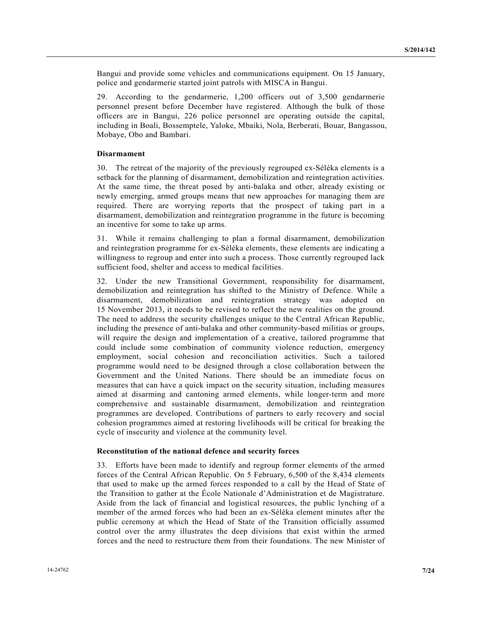Bangui and provide some vehicles and communications equipment. On 15 January, police and gendarmerie started joint patrols with MISCA in Bangui.

29. According to the gendarmerie, 1,200 officers out of 3,500 gendarmerie personnel present before December have registered. Although the bulk of those officers are in Bangui, 226 police personnel are operating outside the capital, including in Boali, Bossemptele, Yaloke, Mbaiki, Nola, Berberati, Bouar, Bangassou, Mobaye, Obo and Bambari.

### **Disarmament**

30. The retreat of the majority of the previously regrouped ex-Séléka elements is a setback for the planning of disarmament, demobilization and reintegration activities. At the same time, the threat posed by anti-balaka and other, already existing or newly emerging, armed groups means that new approaches for managing them are required. There are worrying reports that the prospect of taking part in a disarmament, demobilization and reintegration programme in the future is becoming an incentive for some to take up arms.

31. While it remains challenging to plan a formal disarmament, demobilization and reintegration programme for ex-Séléka elements, these elements are indicating a willingness to regroup and enter into such a process. Those currently regrouped lack sufficient food, shelter and access to medical facilities.

32. Under the new Transitional Government, responsibility for disarmament, demobilization and reintegration has shifted to the Ministry of Defence. While a disarmament, demobilization and reintegration strategy was adopted on 15 November 2013, it needs to be revised to reflect the new realities on the ground. The need to address the security challenges unique to the Central African Republic, including the presence of anti-balaka and other community-based militias or groups, will require the design and implementation of a creative, tailored programme that could include some combination of community violence reduction, emergency employment, social cohesion and reconciliation activities. Such a tailored programme would need to be designed through a close collaboration between the Government and the United Nations. There should be an immediate focus on measures that can have a quick impact on the security situation, including measures aimed at disarming and cantoning armed elements, while longer-term and more comprehensive and sustainable disarmament, demobilization and reintegration programmes are developed. Contributions of partners to early recovery and social cohesion programmes aimed at restoring livelihoods will be critical for breaking the cycle of insecurity and violence at the community level.

#### **Reconstitution of the national defence and security forces**

33. Efforts have been made to identify and regroup former elements of the armed forces of the Central African Republic. On 5 February, 6,500 of the 8,434 elements that used to make up the armed forces responded to a call by the Head of State of the Transition to gather at the École Nationale d'Administration et de Magistrature. Aside from the lack of financial and logistical resources, the public lynching of a member of the armed forces who had been an ex-Séléka element minutes after the public ceremony at which the Head of State of the Transition officially assumed control over the army illustrates the deep divisions that exist within the armed forces and the need to restructure them from their foundations. The new Minister of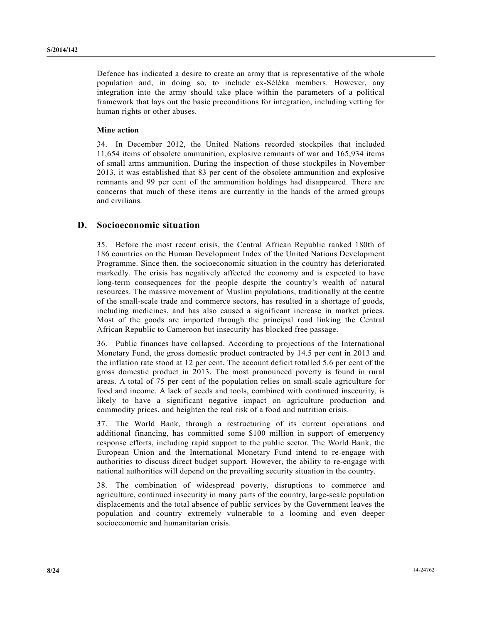Defence has indicated a desire to create an army that is representative of the whole population and, in doing so, to include ex-Séléka members. However, any integration into the army should take place within the parameters of a political framework that lays out the basic preconditions for integration, including vetting for human rights or other abuses.

#### **Mine action**

34. In December 2012, the United Nations recorded stockpiles that included 11,654 items of obsolete ammunition, explosive remnants of war and 165,934 items of small arms ammunition. During the inspection of those stockpiles in November 2013, it was established that 83 per cent of the obsolete ammunition and explosive remnants and 99 per cent of the ammunition holdings had disappeared. There are concerns that much of these items are currently in the hands of the armed groups and civilians.

## **D. Socioeconomic situation**

35. Before the most recent crisis, the Central African Republic ranked 180th of 186 countries on the Human Development Index of the United Nations Development Programme. Since then, the socioeconomic situation in the country has deteriorated markedly. The crisis has negatively affected the economy and is expected to have long-term consequences for the people despite the country's wealth of natural resources. The massive movement of Muslim populations, traditionally at the centre of the small-scale trade and commerce sectors, has resulted in a shortage of goods, including medicines, and has also caused a significant increase in market prices. Most of the goods are imported through the principal road linking the Central African Republic to Cameroon but insecurity has blocked free passage.

36. Public finances have collapsed. According to projections of the International Monetary Fund, the gross domestic product contracted by 14.5 per cent in 2013 and the inflation rate stood at 12 per cent. The account deficit totalled 5.6 per cent of the gross domestic product in 2013. The most pronounced poverty is found in rural areas. A total of 75 per cent of the population relies on small-scale agriculture for food and income. A lack of seeds and tools, combined with continued insecurity, is likely to have a significant negative impact on agriculture production and commodity prices, and heighten the real risk of a food and nutrition crisis.

37. The World Bank, through a restructuring of its current operations and additional financing, has committed some \$100 million in support of emergency response efforts, including rapid support to the public sector. The World Bank, the European Union and the International Monetary Fund intend to re-engage with authorities to discuss direct budget support. However, the ability to re-engage with national authorities will depend on the prevailing security situation in the country.

38. The combination of widespread poverty, disruptions to commerce and agriculture, continued insecurity in many parts of the country, large-scale population displacements and the total absence of public services by the Government leaves the population and country extremely vulnerable to a looming and even deeper socioeconomic and humanitarian crisis.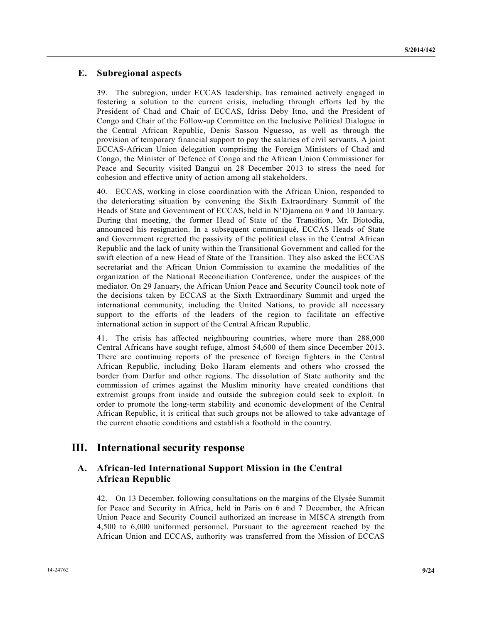## **E. Subregional aspects**

39. The subregion, under ECCAS leadership, has remained actively engaged in fostering a solution to the current crisis, including through efforts led by the President of Chad and Chair of ECCAS, Idriss Deby Itno, and the President of Congo and Chair of the Follow-up Committee on the Inclusive Political Dialogue in the Central African Republic, Denis Sassou Nguesso, as well as through the provision of temporary financial support to pay the salaries of civil servants. A joint ECCAS-African Union delegation comprising the Foreign Ministers of Chad and Congo, the Minister of Defence of Congo and the African Union Commissioner for Peace and Security visited Bangui on 28 December 2013 to stress the need for cohesion and effective unity of action among all stakeholders.

40. ECCAS, working in close coordination with the African Union, responded to the deteriorating situation by convening the Sixth Extraordinary Summit of the Heads of State and Government of ECCAS, held in N'Djamena on 9 and 10 January. During that meeting, the former Head of State of the Transition, Mr. Djotodia, announced his resignation. In a subsequent communiqué, ECCAS Heads of State and Government regretted the passivity of the political class in the Central African Republic and the lack of unity within the Transitional Government and called for the swift election of a new Head of State of the Transition. They also asked the ECCAS secretariat and the African Union Commission to examine the modalities of the organization of the National Reconciliation Conference, under the auspices of the mediator. On 29 January, the African Union Peace and Security Council took note of the decisions taken by ECCAS at the Sixth Extraordinary Summit and urged the international community, including the United Nations, to provide all necessary support to the efforts of the leaders of the region to facilitate an effective international action in support of the Central African Republic.

41. The crisis has affected neighbouring countries, where more than 288,000 Central Africans have sought refuge, almost 54,600 of them since December 2013. There are continuing reports of the presence of foreign fighters in the Central African Republic, including Boko Haram elements and others who crossed the border from Darfur and other regions. The dissolution of State authority and the commission of crimes against the Muslim minority have created conditions that extremist groups from inside and outside the subregion could seek to exploit. In order to promote the long-term stability and economic development of the Central African Republic, it is critical that such groups not be allowed to take advantage of the current chaotic conditions and establish a foothold in the country.

# **III. International security response**

## **A. African-led International Support Mission in the Central African Republic**

42. On 13 December, following consultations on the margins of the Elysée Summit for Peace and Security in Africa, held in Paris on 6 and 7 December, the African Union Peace and Security Council authorized an increase in MISCA strength from 4,500 to 6,000 uniformed personnel. Pursuant to the agreement reached by the African Union and ECCAS, authority was transferred from the Mission of ECCAS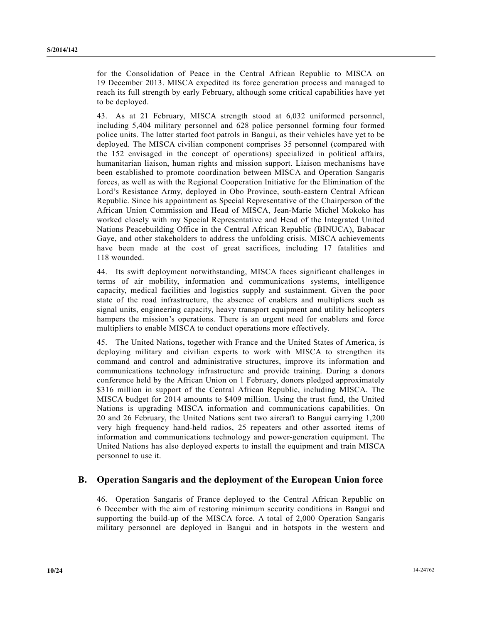for the Consolidation of Peace in the Central African Republic to MISCA on 19 December 2013. MISCA expedited its force generation process and managed to reach its full strength by early February, although some critical capabilities have yet to be deployed.

43. As at 21 February, MISCA strength stood at 6,032 uniformed personnel, including 5,404 military personnel and 628 police personnel forming four formed police units. The latter started foot patrols in Bangui, as their vehicles have yet to be deployed. The MISCA civilian component comprises 35 personnel (compared with the 152 envisaged in the concept of operations) specialized in political affairs, humanitarian liaison, human rights and mission support. Liaison mechanisms have been established to promote coordination between MISCA and Operation Sangaris forces, as well as with the Regional Cooperation Initiative for the Elimination of the Lord's Resistance Army, deployed in Obo Province, south-eastern Central African Republic. Since his appointment as Special Representative of the Chairperson of the African Union Commission and Head of MISCA, Jean-Marie Michel Mokoko has worked closely with my Special Representative and Head of the Integrated United Nations Peacebuilding Office in the Central African Republic (BINUCA), Babacar Gaye, and other stakeholders to address the unfolding crisis. MISCA achievements have been made at the cost of great sacrifices, including 17 fatalities and 118 wounded.

44. Its swift deployment notwithstanding, MISCA faces significant challenges in terms of air mobility, information and communications systems, intelligence capacity, medical facilities and logistics supply and sustainment. Given the poor state of the road infrastructure, the absence of enablers and multipliers such as signal units, engineering capacity, heavy transport equipment and utility helicopters hampers the mission's operations. There is an urgent need for enablers and force multipliers to enable MISCA to conduct operations more effectively.

45. The United Nations, together with France and the United States of America, is deploying military and civilian experts to work with MISCA to strengthen its command and control and administrative structures, improve its information and communications technology infrastructure and provide training. During a donors conference held by the African Union on 1 February, donors pledged approximately \$316 million in support of the Central African Republic, including MISCA. The MISCA budget for 2014 amounts to \$409 million. Using the trust fund, the United Nations is upgrading MISCA information and communications capabilities. On 20 and 26 February, the United Nations sent two aircraft to Bangui carrying 1,200 very high frequency hand-held radios, 25 repeaters and other assorted items of information and communications technology and power-generation equipment. The United Nations has also deployed experts to install the equipment and train MISCA personnel to use it.

## **B. Operation Sangaris and the deployment of the European Union force**

46. Operation Sangaris of France deployed to the Central African Republic on 6 December with the aim of restoring minimum security conditions in Bangui and supporting the build-up of the MISCA force. A total of 2,000 Operation Sangaris military personnel are deployed in Bangui and in hotspots in the western and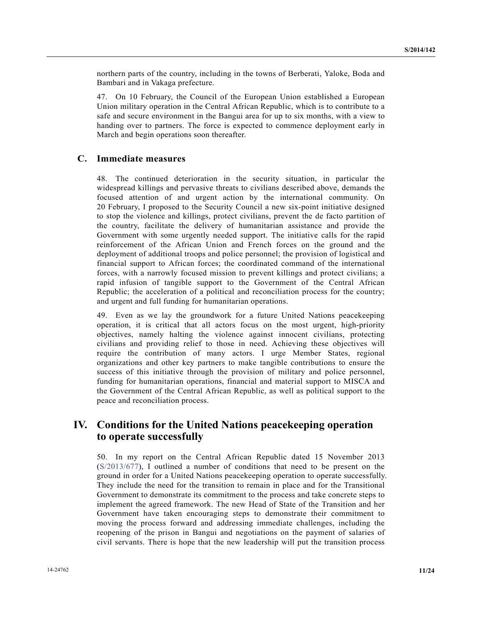northern parts of the country, including in the towns of Berberati, Yaloke, Boda and Bambari and in Vakaga prefecture.

47. On 10 February, the Council of the European Union established a European Union military operation in the Central African Republic, which is to contribute to a safe and secure environment in the Bangui area for up to six months, with a view to handing over to partners. The force is expected to commence deployment early in March and begin operations soon thereafter.

### **C. Immediate measures**

48. The continued deterioration in the security situation, in particular the widespread killings and pervasive threats to civilians described above, demands the focused attention of and urgent action by the international community. On 20 February, I proposed to the Security Council a new six-point initiative designed to stop the violence and killings, protect civilians, prevent the de facto partition of the country, facilitate the delivery of humanitarian assistance and provide the Government with some urgently needed support. The initiative calls for the rapid reinforcement of the African Union and French forces on the ground and the deployment of additional troops and police personnel; the provision of logistical and financial support to African forces; the coordinated command of the international forces, with a narrowly focused mission to prevent killings and protect civilians; a rapid infusion of tangible support to the Government of the Central African Republic; the acceleration of a political and reconciliation process for the country; and urgent and full funding for humanitarian operations.

49. Even as we lay the groundwork for a future United Nations peacekeeping operation, it is critical that all actors focus on the most urgent, high-priority objectives, namely halting the violence against innocent civilians, protecting civilians and providing relief to those in need. Achieving these objectives will require the contribution of many actors. I urge Member States, regional organizations and other key partners to make tangible contributions to ensure the success of this initiative through the provision of military and police personnel, funding for humanitarian operations, financial and material support to MISCA and the Government of the Central African Republic, as well as political support to the peace and reconciliation process.

# **IV. Conditions for the United Nations peacekeeping operation to operate successfully**

50. In my report on the Central African Republic dated 15 November 2013 (S/2013/677), I outlined a number of conditions that need to be present on the ground in order for a United Nations peacekeeping operation to operate successfully. They include the need for the transition to remain in place and for the Transitional Government to demonstrate its commitment to the process and take concrete steps to implement the agreed framework. The new Head of State of the Transition and her Government have taken encouraging steps to demonstrate their commitment to moving the process forward and addressing immediate challenges, including the reopening of the prison in Bangui and negotiations on the payment of salaries of civil servants. There is hope that the new leadership will put the transition process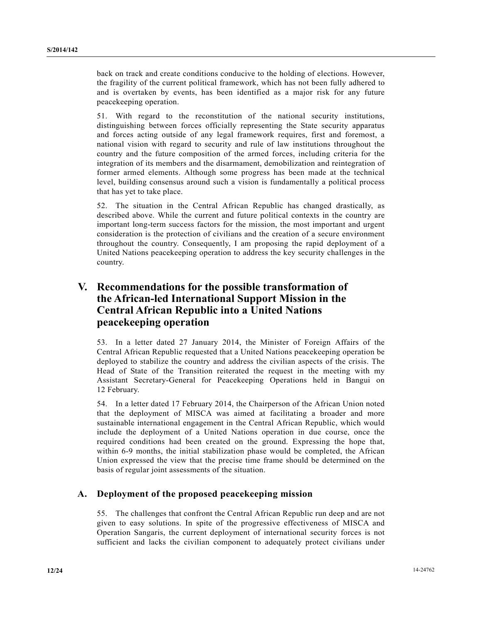back on track and create conditions conducive to the holding of elections. However, the fragility of the current political framework, which has not been fully adhered to and is overtaken by events, has been identified as a major risk for any future peacekeeping operation.

51. With regard to the reconstitution of the national security institutions, distinguishing between forces officially representing the State security apparatus and forces acting outside of any legal framework requires, first and foremost, a national vision with regard to security and rule of law institutions throughout the country and the future composition of the armed forces, including criteria for the integration of its members and the disarmament, demobilization and reintegration of former armed elements. Although some progress has been made at the technical level, building consensus around such a vision is fundamentally a political process that has yet to take place.

52. The situation in the Central African Republic has changed drastically, as described above. While the current and future political contexts in the country are important long-term success factors for the mission, the most important and urgent consideration is the protection of civilians and the creation of a secure environment throughout the country. Consequently, I am proposing the rapid deployment of a United Nations peacekeeping operation to address the key security challenges in the country.

# **V. Recommendations for the possible transformation of the African-led International Support Mission in the Central African Republic into a United Nations peacekeeping operation**

53. In a letter dated 27 January 2014, the Minister of Foreign Affairs of the Central African Republic requested that a United Nations peacekeeping operation be deployed to stabilize the country and address the civilian aspects of the crisis. The Head of State of the Transition reiterated the request in the meeting with my Assistant Secretary-General for Peacekeeping Operations held in Bangui on 12 February.

54. In a letter dated 17 February 2014, the Chairperson of the African Union noted that the deployment of MISCA was aimed at facilitating a broader and more sustainable international engagement in the Central African Republic, which would include the deployment of a United Nations operation in due course, once the required conditions had been created on the ground. Expressing the hope that, within 6-9 months, the initial stabilization phase would be completed, the African Union expressed the view that the precise time frame should be determined on the basis of regular joint assessments of the situation.

## **A. Deployment of the proposed peacekeeping mission**

55. The challenges that confront the Central African Republic run deep and are not given to easy solutions. In spite of the progressive effectiveness of MISCA and Operation Sangaris, the current deployment of international security forces is not sufficient and lacks the civilian component to adequately protect civilians under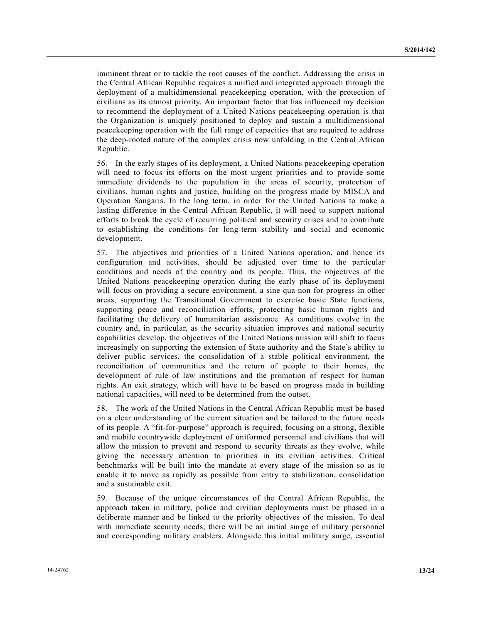imminent threat or to tackle the root causes of the conflict. Addressing the crisis in the Central African Republic requires a unified and integrated approach through the deployment of a multidimensional peacekeeping operation, with the protection of civilians as its utmost priority. An important factor that has influenced my decision to recommend the deployment of a United Nations peacekeeping operation is that the Organization is uniquely positioned to deploy and sustain a multidimensional peacekeeping operation with the full range of capacities that are required to address the deep-rooted nature of the complex crisis now unfolding in the Central African Republic.

56. In the early stages of its deployment, a United Nations peacekeeping operation will need to focus its efforts on the most urgent priorities and to provide some immediate dividends to the population in the areas of security, protection of civilians, human rights and justice, building on the progress made by MISCA and Operation Sangaris. In the long term, in order for the United Nations to make a lasting difference in the Central African Republic, it will need to support national efforts to break the cycle of recurring political and security crises and to contribute to establishing the conditions for long-term stability and social and economic development.

57. The objectives and priorities of a United Nations operation, and hence its configuration and activities, should be adjusted over time to the particular conditions and needs of the country and its people. Thus, the objectives of the United Nations peacekeeping operation during the early phase of its deployment will focus on providing a secure environment, a sine qua non for progress in other areas, supporting the Transitional Government to exercise basic State functions, supporting peace and reconciliation efforts, protecting basic human rights and facilitating the delivery of humanitarian assistance. As conditions evolve in the country and, in particular, as the security situation improves and national security capabilities develop, the objectives of the United Nations mission will shift to focus increasingly on supporting the extension of State authority and the State's ability to deliver public services, the consolidation of a stable political environment, the reconciliation of communities and the return of people to their homes, the development of rule of law institutions and the promotion of respect for human rights. An exit strategy, which will have to be based on progress made in building national capacities, will need to be determined from the outset.

58. The work of the United Nations in the Central African Republic must be based on a clear understanding of the current situation and be tailored to the future needs of its people. A "fit-for-purpose" approach is required, focusing on a strong, flexible and mobile countrywide deployment of uniformed personnel and civilians that will allow the mission to prevent and respond to security threats as they evolve, while giving the necessary attention to priorities in its civilian activities. Critical benchmarks will be built into the mandate at every stage of the mission so as to enable it to move as rapidly as possible from entry to stabilization, consolidation and a sustainable exit.

59. Because of the unique circumstances of the Central African Republic, the approach taken in military, police and civilian deployments must be phased in a deliberate manner and be linked to the priority objectives of the mission. To deal with immediate security needs, there will be an initial surge of military personnel and corresponding military enablers. Alongside this initial military surge, essential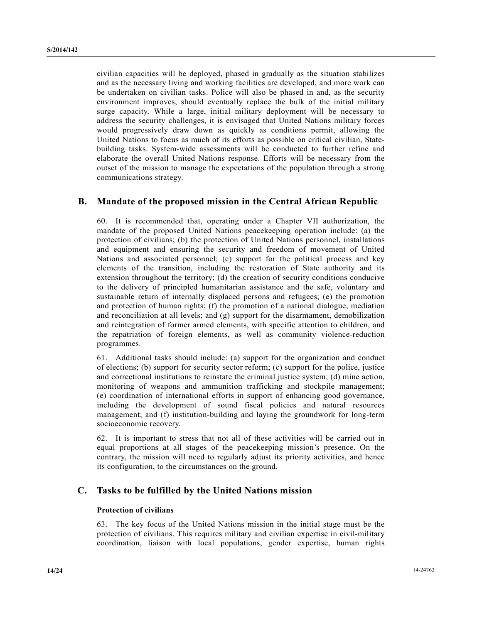civilian capacities will be deployed, phased in gradually as the situation stabilizes and as the necessary living and working facilities are developed, and more work can be undertaken on civilian tasks. Police will also be phased in and, as the security environment improves, should eventually replace the bulk of the initial military surge capacity. While a large, initial military deployment will be necessary to address the security challenges, it is envisaged that United Nations military forces would progressively draw down as quickly as conditions permit, allowing the United Nations to focus as much of its efforts as possible on critical civilian, Statebuilding tasks. System-wide assessments will be conducted to further refine and elaborate the overall United Nations response. Efforts will be necessary from the outset of the mission to manage the expectations of the population through a strong communications strategy.

## **B. Mandate of the proposed mission in the Central African Republic**

60. It is recommended that, operating under a Chapter VII authorization, the mandate of the proposed United Nations peacekeeping operation include: (a) the protection of civilians; (b) the protection of United Nations personnel, installations and equipment and ensuring the security and freedom of movement of United Nations and associated personnel; (c) support for the political process and key elements of the transition, including the restoration of State authority and its extension throughout the territory; (d) the creation of security conditions conducive to the delivery of principled humanitarian assistance and the safe, voluntary and sustainable return of internally displaced persons and refugees; (e) the promotion and protection of human rights; (f) the promotion of a national dialogue, mediation and reconciliation at all levels; and (g) support for the disarmament, demobilization and reintegration of former armed elements, with specific attention to children, and the repatriation of foreign elements, as well as community violence-reduction programmes.

61. Additional tasks should include: (a) support for the organization and conduct of elections; (b) support for security sector reform; (c) support for the police, justice and correctional institutions to reinstate the criminal justice system; (d) mine action, monitoring of weapons and ammunition trafficking and stockpile management; (e) coordination of international efforts in support of enhancing good governance, including the development of sound fiscal policies and natural resources management; and (f) institution-building and laying the groundwork for long-term socioeconomic recovery.

62. It is important to stress that not all of these activities will be carried out in equal proportions at all stages of the peacekeeping mission's presence. On the contrary, the mission will need to regularly adjust its priority activities, and hence its configuration, to the circumstances on the ground.

## **C. Tasks to be fulfilled by the United Nations mission**

### **Protection of civilians**

63. The key focus of the United Nations mission in the initial stage must be the protection of civilians. This requires military and civilian expertise in civil-military coordination, liaison with local populations, gender expertise, human rights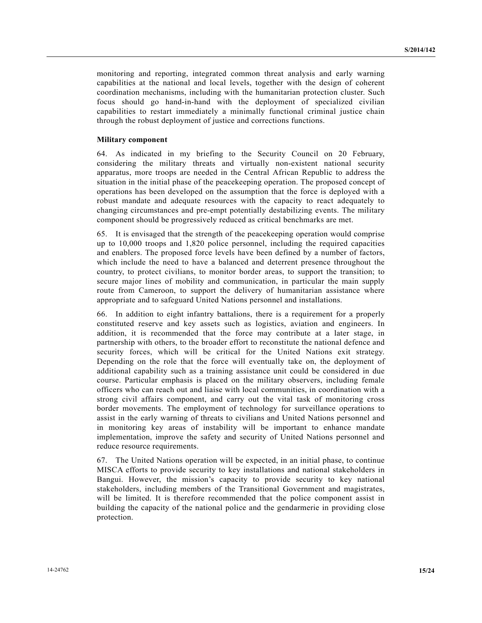monitoring and reporting, integrated common threat analysis and early warning capabilities at the national and local levels, together with the design of coherent coordination mechanisms, including with the humanitarian protection cluster. Such focus should go hand-in-hand with the deployment of specialized civilian capabilities to restart immediately a minimally functional criminal justice chain through the robust deployment of justice and corrections functions.

#### **Military component**

64. As indicated in my briefing to the Security Council on 20 February, considering the military threats and virtually non-existent national security apparatus, more troops are needed in the Central African Republic to address the situation in the initial phase of the peacekeeping operation. The proposed concept of operations has been developed on the assumption that the force is deployed with a robust mandate and adequate resources with the capacity to react adequately to changing circumstances and pre-empt potentially destabilizing events. The military component should be progressively reduced as critical benchmarks are met.

65. It is envisaged that the strength of the peacekeeping operation would comprise up to 10,000 troops and 1,820 police personnel, including the required capacities and enablers. The proposed force levels have been defined by a number of factors, which include the need to have a balanced and deterrent presence throughout the country, to protect civilians, to monitor border areas, to support the transition; to secure major lines of mobility and communication, in particular the main supply route from Cameroon, to support the delivery of humanitarian assistance where appropriate and to safeguard United Nations personnel and installations.

66. In addition to eight infantry battalions, there is a requirement for a properly constituted reserve and key assets such as logistics, aviation and engineers. In addition, it is recommended that the force may contribute at a later stage, in partnership with others, to the broader effort to reconstitute the national defence and security forces, which will be critical for the United Nations exit strategy. Depending on the role that the force will eventually take on, the deployment of additional capability such as a training assistance unit could be considered in due course. Particular emphasis is placed on the military observers, including female officers who can reach out and liaise with local communities, in coordination with a strong civil affairs component, and carry out the vital task of monitoring cross border movements. The employment of technology for surveillance operations to assist in the early warning of threats to civilians and United Nations personnel and in monitoring key areas of instability will be important to enhance mandate implementation, improve the safety and security of United Nations personnel and reduce resource requirements.

67. The United Nations operation will be expected, in an initial phase, to continue MISCA efforts to provide security to key installations and national stakeholders in Bangui. However, the mission's capacity to provide security to key national stakeholders, including members of the Transitional Government and magistrates, will be limited. It is therefore recommended that the police component assist in building the capacity of the national police and the gendarmerie in providing close protection.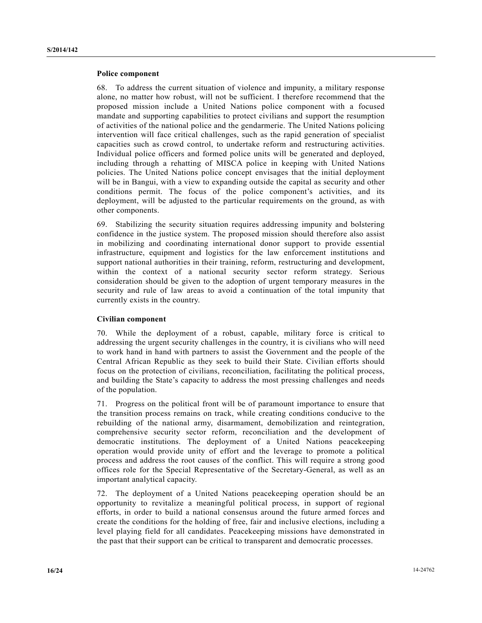#### **Police component**

68. To address the current situation of violence and impunity, a military response alone, no matter how robust, will not be sufficient. I therefore recommend that the proposed mission include a United Nations police component with a focused mandate and supporting capabilities to protect civilians and support the resumption of activities of the national police and the gendarmerie. The United Nations policing intervention will face critical challenges, such as the rapid generation of specialist capacities such as crowd control, to undertake reform and restructuring activities. Individual police officers and formed police units will be generated and deployed, including through a rehatting of MISCA police in keeping with United Nations policies. The United Nations police concept envisages that the initial deployment will be in Bangui, with a view to expanding outside the capital as security and other conditions permit. The focus of the police component's activities, and its deployment, will be adjusted to the particular requirements on the ground, as with other components.

69. Stabilizing the security situation requires addressing impunity and bolstering confidence in the justice system. The proposed mission should therefore also assist in mobilizing and coordinating international donor support to provide essential infrastructure, equipment and logistics for the law enforcement institutions and support national authorities in their training, reform, restructuring and development, within the context of a national security sector reform strategy. Serious consideration should be given to the adoption of urgent temporary measures in the security and rule of law areas to avoid a continuation of the total impunity that currently exists in the country.

### **Civilian component**

70. While the deployment of a robust, capable, military force is critical to addressing the urgent security challenges in the country, it is civilians who will need to work hand in hand with partners to assist the Government and the people of the Central African Republic as they seek to build their State. Civilian efforts should focus on the protection of civilians, reconciliation, facilitating the political process, and building the State's capacity to address the most pressing challenges and needs of the population.

71. Progress on the political front will be of paramount importance to ensure that the transition process remains on track, while creating conditions conducive to the rebuilding of the national army, disarmament, demobilization and reintegration, comprehensive security sector reform, reconciliation and the development of democratic institutions. The deployment of a United Nations peacekeeping operation would provide unity of effort and the leverage to promote a political process and address the root causes of the conflict. This will require a strong good offices role for the Special Representative of the Secretary-General, as well as an important analytical capacity.

72. The deployment of a United Nations peacekeeping operation should be an opportunity to revitalize a meaningful political process, in support of regional efforts, in order to build a national consensus around the future armed forces and create the conditions for the holding of free, fair and inclusive elections, including a level playing field for all candidates. Peacekeeping missions have demonstrated in the past that their support can be critical to transparent and democratic processes.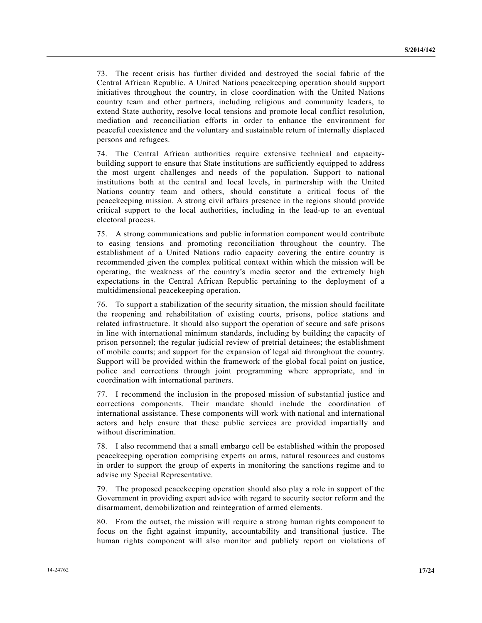73. The recent crisis has further divided and destroyed the social fabric of the Central African Republic. A United Nations peacekeeping operation should support initiatives throughout the country, in close coordination with the United Nations country team and other partners, including religious and community leaders, to extend State authority, resolve local tensions and promote local conflict resolution, mediation and reconciliation efforts in order to enhance the environment for peaceful coexistence and the voluntary and sustainable return of internally displaced persons and refugees.

74. The Central African authorities require extensive technical and capacitybuilding support to ensure that State institutions are sufficiently equipped to address the most urgent challenges and needs of the population. Support to national institutions both at the central and local levels, in partnership with the United Nations country team and others, should constitute a critical focus of the peacekeeping mission. A strong civil affairs presence in the regions should provide critical support to the local authorities, including in the lead-up to an eventual electoral process.

75. A strong communications and public information component would contribute to easing tensions and promoting reconciliation throughout the country. The establishment of a United Nations radio capacity covering the entire country is recommended given the complex political context within which the mission will be operating, the weakness of the country's media sector and the extremely high expectations in the Central African Republic pertaining to the deployment of a multidimensional peacekeeping operation.

76. To support a stabilization of the security situation, the mission should facilitate the reopening and rehabilitation of existing courts, prisons, police stations and related infrastructure. It should also support the operation of secure and safe prisons in line with international minimum standards, including by building the capacity of prison personnel; the regular judicial review of pretrial detainees; the establishment of mobile courts; and support for the expansion of legal aid throughout the country. Support will be provided within the framework of the global focal point on justice, police and corrections through joint programming where appropriate, and in coordination with international partners.

77. I recommend the inclusion in the proposed mission of substantial justice and corrections components. Their mandate should include the coordination of international assistance. These components will work with national and international actors and help ensure that these public services are provided impartially and without discrimination.

78. I also recommend that a small embargo cell be established within the proposed peacekeeping operation comprising experts on arms, natural resources and customs in order to support the group of experts in monitoring the sanctions regime and to advise my Special Representative.

79. The proposed peacekeeping operation should also play a role in support of the Government in providing expert advice with regard to security sector reform and the disarmament, demobilization and reintegration of armed elements.

80. From the outset, the mission will require a strong human rights component to focus on the fight against impunity, accountability and transitional justice. The human rights component will also monitor and publicly report on violations of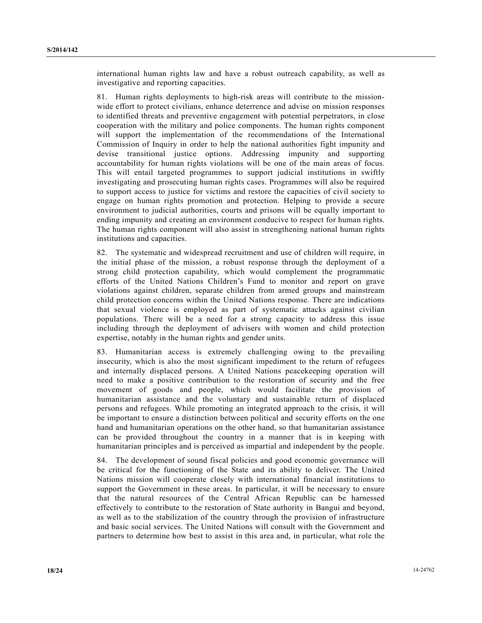international human rights law and have a robust outreach capability, as well as investigative and reporting capacities.

81. Human rights deployments to high-risk areas will contribute to the missionwide effort to protect civilians, enhance deterrence and advise on mission responses to identified threats and preventive engagement with potential perpetrators, in close cooperation with the military and police components. The human rights component will support the implementation of the recommendations of the International Commission of Inquiry in order to help the national authorities fight impunity and devise transitional justice options. Addressing impunity and supporting accountability for human rights violations will be one of the main areas of focus. This will entail targeted programmes to support judicial institutions in swiftly investigating and prosecuting human rights cases. Programmes will also be required to support access to justice for victims and restore the capacities of civil society to engage on human rights promotion and protection. Helping to provide a secure environment to judicial authorities, courts and prisons will be equally important to ending impunity and creating an environment conducive to respect for human rights. The human rights component will also assist in strengthening national human rights institutions and capacities.

82. The systematic and widespread recruitment and use of children will require, in the initial phase of the mission, a robust response through the deployment of a strong child protection capability, which would complement the programmatic efforts of the United Nations Children's Fund to monitor and report on grave violations against children, separate children from armed groups and mainstream child protection concerns within the United Nations response. There are indications that sexual violence is employed as part of systematic attacks against civilian populations. There will be a need for a strong capacity to address this issue including through the deployment of advisers with women and child protection expertise, notably in the human rights and gender units.

83. Humanitarian access is extremely challenging owing to the prevailing insecurity, which is also the most significant impediment to the return of refugees and internally displaced persons. A United Nations peacekeeping operation will need to make a positive contribution to the restoration of security and the free movement of goods and people, which would facilitate the provision of humanitarian assistance and the voluntary and sustainable return of displaced persons and refugees. While promoting an integrated approach to the crisis, it will be important to ensure a distinction between political and security efforts on the one hand and humanitarian operations on the other hand, so that humanitarian assistance can be provided throughout the country in a manner that is in keeping with humanitarian principles and is perceived as impartial and independent by the people.

84. The development of sound fiscal policies and good economic governance will be critical for the functioning of the State and its ability to deliver. The United Nations mission will cooperate closely with international financial institutions to support the Government in these areas. In particular, it will be necessary to ensure that the natural resources of the Central African Republic can be harnessed effectively to contribute to the restoration of State authority in Bangui and beyond, as well as to the stabilization of the country through the provision of infrastructure and basic social services. The United Nations will consult with the Government and partners to determine how best to assist in this area and, in particular, what role the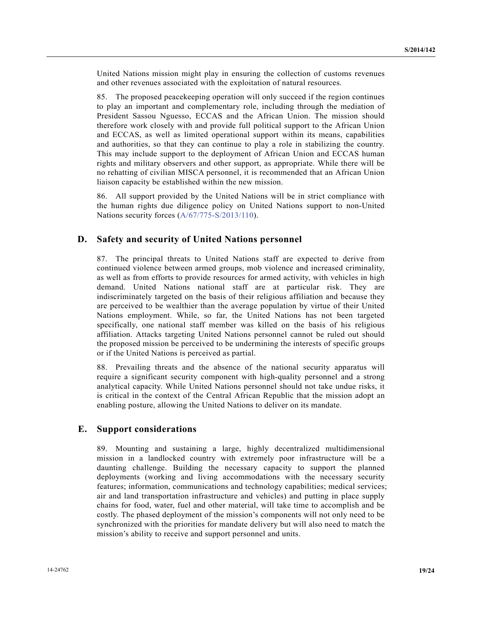United Nations mission might play in ensuring the collection of customs revenues and other revenues associated with the exploitation of natural resources.

85. The proposed peacekeeping operation will only succeed if the region continues to play an important and complementary role, including through the mediation of President Sassou Nguesso, ECCAS and the African Union. The mission should therefore work closely with and provide full political support to the African Union and ECCAS, as well as limited operational support within its means, capabilities and authorities, so that they can continue to play a role in stabilizing the country. This may include support to the deployment of African Union and ECCAS human rights and military observers and other support, as appropriate. While there will be no rehatting of civilian MISCA personnel, it is recommended that an African Union liaison capacity be established within the new mission.

86. All support provided by the United Nations will be in strict compliance with the human rights due diligence policy on United Nations support to non-United Nations security forces (A/67/775-S/2013/110).

## **D. Safety and security of United Nations personnel**

87. The principal threats to United Nations staff are expected to derive from continued violence between armed groups, mob violence and increased criminality, as well as from efforts to provide resources for armed activity, with vehicles in high demand. United Nations national staff are at particular risk. They are indiscriminately targeted on the basis of their religious affiliation and because they are perceived to be wealthier than the average population by virtue of their United Nations employment. While, so far, the United Nations has not been targeted specifically, one national staff member was killed on the basis of his religious affiliation. Attacks targeting United Nations personnel cannot be ruled out should the proposed mission be perceived to be undermining the interests of specific groups or if the United Nations is perceived as partial.

88. Prevailing threats and the absence of the national security apparatus will require a significant security component with high-quality personnel and a strong analytical capacity. While United Nations personnel should not take undue risks, it is critical in the context of the Central African Republic that the mission adopt an enabling posture, allowing the United Nations to deliver on its mandate.

### **E. Support considerations**

89. Mounting and sustaining a large, highly decentralized multidimensional mission in a landlocked country with extremely poor infrastructure will be a daunting challenge. Building the necessary capacity to support the planned deployments (working and living accommodations with the necessary security features; information, communications and technology capabilities; medical services; air and land transportation infrastructure and vehicles) and putting in place supply chains for food, water, fuel and other material, will take time to accomplish and be costly. The phased deployment of the mission's components will not only need to be synchronized with the priorities for mandate delivery but will also need to match the mission's ability to receive and support personnel and units.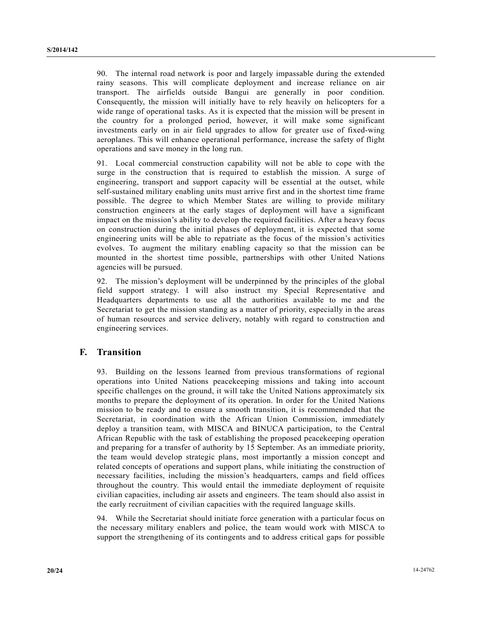90. The internal road network is poor and largely impassable during the extended rainy seasons. This will complicate deployment and increase reliance on air transport. The airfields outside Bangui are generally in poor condition. Consequently, the mission will initially have to rely heavily on helicopters for a wide range of operational tasks. As it is expected that the mission will be present in the country for a prolonged period, however, it will make some significant investments early on in air field upgrades to allow for greater use of fixed-wing aeroplanes. This will enhance operational performance, increase the safety of flight operations and save money in the long run.

91. Local commercial construction capability will not be able to cope with the surge in the construction that is required to establish the mission. A surge of engineering, transport and support capacity will be essential at the outset, while self-sustained military enabling units must arrive first and in the shortest time frame possible. The degree to which Member States are willing to provide military construction engineers at the early stages of deployment will have a significant impact on the mission's ability to develop the required facilities. After a heavy focus on construction during the initial phases of deployment, it is expected that some engineering units will be able to repatriate as the focus of the mission's activities evolves. To augment the military enabling capacity so that the mission can be mounted in the shortest time possible, partnerships with other United Nations agencies will be pursued.

92. The mission's deployment will be underpinned by the principles of the global field support strategy. I will also instruct my Special Representative and Headquarters departments to use all the authorities available to me and the Secretariat to get the mission standing as a matter of priority, especially in the areas of human resources and service delivery, notably with regard to construction and engineering services.

## **F. Transition**

93. Building on the lessons learned from previous transformations of regional operations into United Nations peacekeeping missions and taking into account specific challenges on the ground, it will take the United Nations approximately six months to prepare the deployment of its operation. In order for the United Nations mission to be ready and to ensure a smooth transition, it is recommended that the Secretariat, in coordination with the African Union Commission, immediately deploy a transition team, with MISCA and BINUCA participation, to the Central African Republic with the task of establishing the proposed peacekeeping operation and preparing for a transfer of authority by 15 September. As an immediate priority, the team would develop strategic plans, most importantly a mission concept and related concepts of operations and support plans, while initiating the construction of necessary facilities, including the mission's headquarters, camps and field offices throughout the country. This would entail the immediate deployment of requisite civilian capacities, including air assets and engineers. The team should also assist in the early recruitment of civilian capacities with the required language skills.

94. While the Secretariat should initiate force generation with a particular focus on the necessary military enablers and police, the team would work with MISCA to support the strengthening of its contingents and to address critical gaps for possible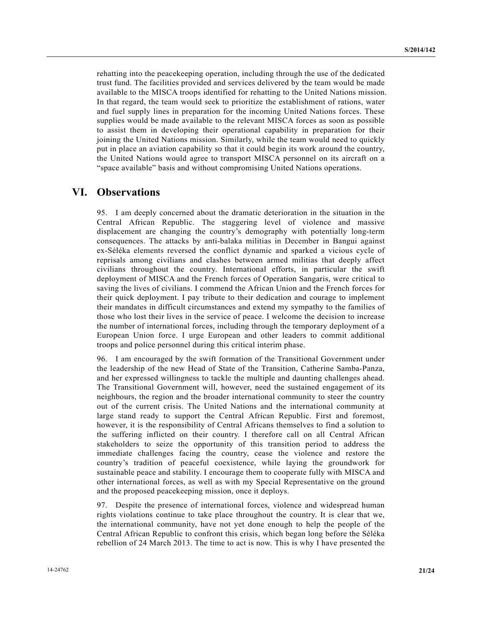rehatting into the peacekeeping operation, including through the use of the dedicated trust fund. The facilities provided and services delivered by the team would be made available to the MISCA troops identified for rehatting to the United Nations mission. In that regard, the team would seek to prioritize the establishment of rations, water and fuel supply lines in preparation for the incoming United Nations forces. These supplies would be made available to the relevant MISCA forces as soon as possible to assist them in developing their operational capability in preparation for their joining the United Nations mission. Similarly, while the team would need to quickly put in place an aviation capability so that it could begin its work around the country, the United Nations would agree to transport MISCA personnel on its aircraft on a "space available" basis and without compromising United Nations operations.

# **VI. Observations**

95. I am deeply concerned about the dramatic deterioration in the situation in the Central African Republic. The staggering level of violence and massive displacement are changing the country's demography with potentially long-term consequences. The attacks by anti-balaka militias in December in Bangui against ex-Séléka elements reversed the conflict dynamic and sparked a vicious cycle of reprisals among civilians and clashes between armed militias that deeply affect civilians throughout the country. International efforts, in particular the swift deployment of MISCA and the French forces of Operation Sangaris, were critical to saving the lives of civilians. I commend the African Union and the French forces for their quick deployment. I pay tribute to their dedication and courage to implement their mandates in difficult circumstances and extend my sympathy to the families of those who lost their lives in the service of peace. I welcome the decision to increase the number of international forces, including through the temporary deployment of a European Union force. I urge European and other leaders to commit additional troops and police personnel during this critical interim phase.

96. I am encouraged by the swift formation of the Transitional Government under the leadership of the new Head of State of the Transition, Catherine Samba-Panza, and her expressed willingness to tackle the multiple and daunting challenges ahead. The Transitional Government will, however, need the sustained engagement of its neighbours, the region and the broader international community to steer the country out of the current crisis. The United Nations and the international community at large stand ready to support the Central African Republic. First and foremost, however, it is the responsibility of Central Africans themselves to find a solution to the suffering inflicted on their country. I therefore call on all Central African stakeholders to seize the opportunity of this transition period to address the immediate challenges facing the country, cease the violence and restore the country's tradition of peaceful coexistence, while laying the groundwork for sustainable peace and stability. I encourage them to cooperate fully with MISCA and other international forces, as well as with my Special Representative on the ground and the proposed peacekeeping mission, once it deploys.

97. Despite the presence of international forces, violence and widespread human rights violations continue to take place throughout the country. It is clear that we, the international community, have not yet done enough to help the people of the Central African Republic to confront this crisis, which began long before the Séléka rebellion of 24 March 2013. The time to act is now. This is why I have presented the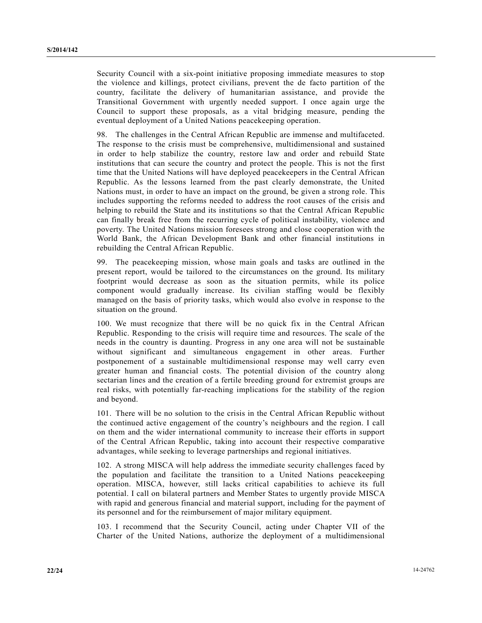Security Council with a six-point initiative proposing immediate measures to stop the violence and killings, protect civilians, prevent the de facto partition of the country, facilitate the delivery of humanitarian assistance, and provide the Transitional Government with urgently needed support. I once again urge the Council to support these proposals, as a vital bridging measure, pending the eventual deployment of a United Nations peacekeeping operation.

98. The challenges in the Central African Republic are immense and multifaceted. The response to the crisis must be comprehensive, multidimensional and sustained in order to help stabilize the country, restore law and order and rebuild State institutions that can secure the country and protect the people. This is not the first time that the United Nations will have deployed peacekeepers in the Central African Republic. As the lessons learned from the past clearly demonstrate, the United Nations must, in order to have an impact on the ground, be given a strong role. This includes supporting the reforms needed to address the root causes of the crisis and helping to rebuild the State and its institutions so that the Central African Republic can finally break free from the recurring cycle of political instability, violence and poverty. The United Nations mission foresees strong and close cooperation with the World Bank, the African Development Bank and other financial institutions in rebuilding the Central African Republic.

99. The peacekeeping mission, whose main goals and tasks are outlined in the present report, would be tailored to the circumstances on the ground. Its military footprint would decrease as soon as the situation permits, while its police component would gradually increase. Its civilian staffing would be flexibly managed on the basis of priority tasks, which would also evolve in response to the situation on the ground.

100. We must recognize that there will be no quick fix in the Central African Republic. Responding to the crisis will require time and resources. The scale of the needs in the country is daunting. Progress in any one area will not be sustainable without significant and simultaneous engagement in other areas. Further postponement of a sustainable multidimensional response may well carry even greater human and financial costs. The potential division of the country along sectarian lines and the creation of a fertile breeding ground for extremist groups are real risks, with potentially far-reaching implications for the stability of the region and beyond.

101. There will be no solution to the crisis in the Central African Republic without the continued active engagement of the country's neighbours and the region. I call on them and the wider international community to increase their efforts in support of the Central African Republic, taking into account their respective comparative advantages, while seeking to leverage partnerships and regional initiatives.

102. A strong MISCA will help address the immediate security challenges faced by the population and facilitate the transition to a United Nations peacekeeping operation. MISCA, however, still lacks critical capabilities to achieve its full potential. I call on bilateral partners and Member States to urgently provide MISCA with rapid and generous financial and material support, including for the payment of its personnel and for the reimbursement of major military equipment.

103. I recommend that the Security Council, acting under Chapter VII of the Charter of the United Nations, authorize the deployment of a multidimensional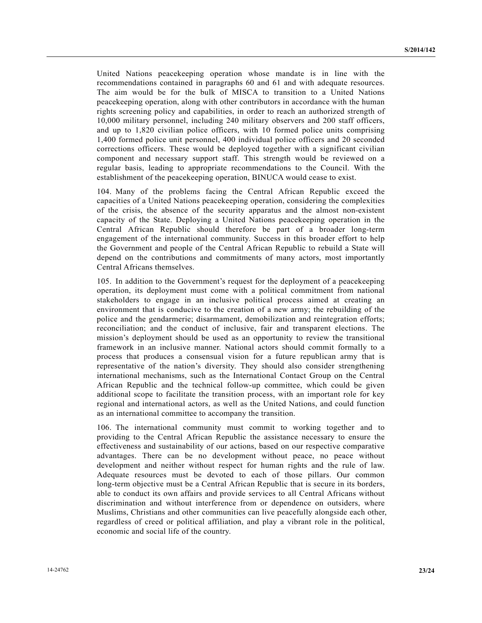United Nations peacekeeping operation whose mandate is in line with the recommendations contained in paragraphs 60 and 61 and with adequate resources. The aim would be for the bulk of MISCA to transition to a United Nations peacekeeping operation, along with other contributors in accordance with the human rights screening policy and capabilities, in order to reach an authorized strength of 10,000 military personnel, including 240 military observers and 200 staff officers, and up to 1,820 civilian police officers, with 10 formed police units comprising 1,400 formed police unit personnel, 400 individual police officers and 20 seconded corrections officers. These would be deployed together with a significant civilian component and necessary support staff. This strength would be reviewed on a regular basis, leading to appropriate recommendations to the Council. With the establishment of the peacekeeping operation, BINUCA would cease to exist.

104. Many of the problems facing the Central African Republic exceed the capacities of a United Nations peacekeeping operation, considering the complexities of the crisis, the absence of the security apparatus and the almost non-existent capacity of the State. Deploying a United Nations peacekeeping operation in the Central African Republic should therefore be part of a broader long-term engagement of the international community. Success in this broader effort to help the Government and people of the Central African Republic to rebuild a State will depend on the contributions and commitments of many actors, most importantly Central Africans themselves.

105. In addition to the Government's request for the deployment of a peacekeeping operation, its deployment must come with a political commitment from national stakeholders to engage in an inclusive political process aimed at creating an environment that is conducive to the creation of a new army; the rebuilding of the police and the gendarmerie; disarmament, demobilization and reintegration efforts; reconciliation; and the conduct of inclusive, fair and transparent elections. The mission's deployment should be used as an opportunity to review the transitional framework in an inclusive manner. National actors should commit formally to a process that produces a consensual vision for a future republican army that is representative of the nation's diversity. They should also consider strengthening international mechanisms, such as the International Contact Group on the Central African Republic and the technical follow-up committee, which could be given additional scope to facilitate the transition process, with an important role for key regional and international actors, as well as the United Nations, and could function as an international committee to accompany the transition.

106. The international community must commit to working together and to providing to the Central African Republic the assistance necessary to ensure the effectiveness and sustainability of our actions, based on our respective comparative advantages. There can be no development without peace, no peace without development and neither without respect for human rights and the rule of law. Adequate resources must be devoted to each of those pillars. Our common long-term objective must be a Central African Republic that is secure in its borders, able to conduct its own affairs and provide services to all Central Africans without discrimination and without interference from or dependence on outsiders, where Muslims, Christians and other communities can live peacefully alongside each other, regardless of creed or political affiliation, and play a vibrant role in the political, economic and social life of the country.